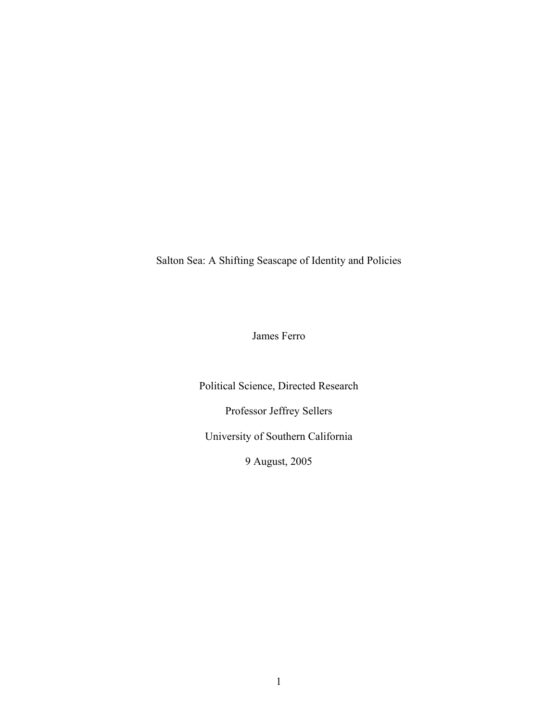Salton Sea: A Shifting Seascape of Identity and Policies

James Ferro

Political Science, Directed Research Professor Jeffrey Sellers University of Southern California 9 August, 2005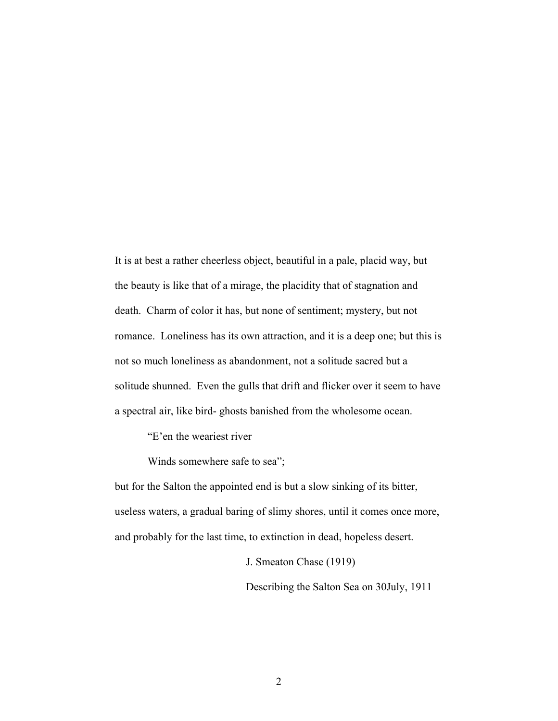It is at best a rather cheerless object, beautiful in a pale, placid way, but the beauty is like that of a mirage, the placidity that of stagnation and death. Charm of color it has, but none of sentiment; mystery, but not romance. Loneliness has its own attraction, and it is a deep one; but this is not so much loneliness as abandonment, not a solitude sacred but a solitude shunned. Even the gulls that drift and flicker over it seem to have a spectral air, like bird- ghosts banished from the wholesome ocean.

"E'en the weariest river

Winds somewhere safe to sea";

but for the Salton the appointed end is but a slow sinking of its bitter, useless waters, a gradual baring of slimy shores, until it comes once more, and probably for the last time, to extinction in dead, hopeless desert.

J. Smeaton Chase (1919)

Describing the Salton Sea on 30July, 1911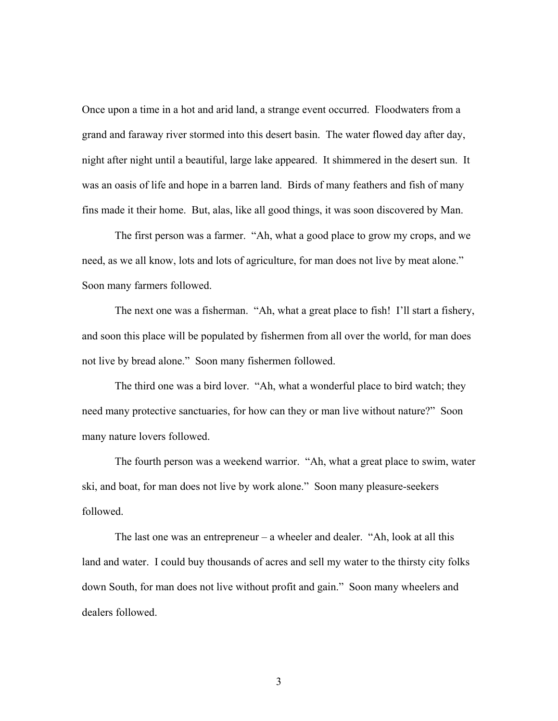Once upon a time in a hot and arid land, a strange event occurred. Floodwaters from a grand and faraway river stormed into this desert basin. The water flowed day after day, night after night until a beautiful, large lake appeared. It shimmered in the desert sun. It was an oasis of life and hope in a barren land. Birds of many feathers and fish of many fins made it their home. But, alas, like all good things, it was soon discovered by Man.

The first person was a farmer. "Ah, what a good place to grow my crops, and we need, as we all know, lots and lots of agriculture, for man does not live by meat alone." Soon many farmers followed.

The next one was a fisherman. "Ah, what a great place to fish! I'll start a fishery, and soon this place will be populated by fishermen from all over the world, for man does not live by bread alone." Soon many fishermen followed.

The third one was a bird lover. "Ah, what a wonderful place to bird watch; they need many protective sanctuaries, for how can they or man live without nature?" Soon many nature lovers followed.

The fourth person was a weekend warrior. "Ah, what a great place to swim, water ski, and boat, for man does not live by work alone." Soon many pleasure-seekers followed.

The last one was an entrepreneur – a wheeler and dealer. "Ah, look at all this land and water. I could buy thousands of acres and sell my water to the thirsty city folks down South, for man does not live without profit and gain." Soon many wheelers and dealers followed.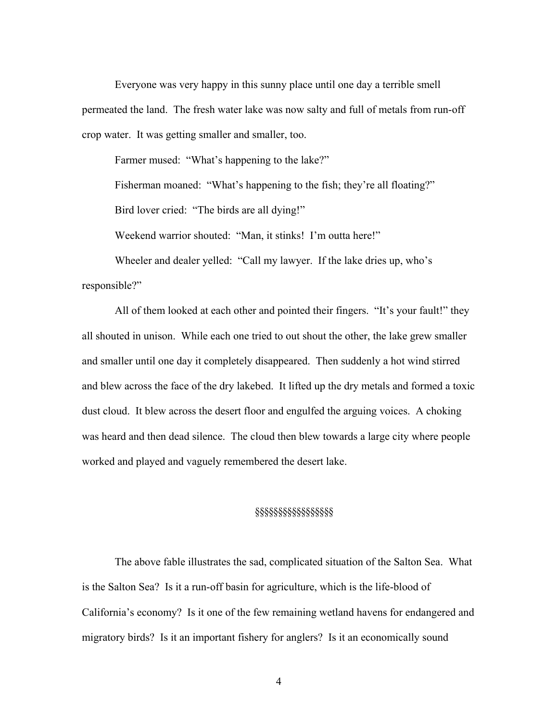Everyone was very happy in this sunny place until one day a terrible smell permeated the land. The fresh water lake was now salty and full of metals from run-off crop water. It was getting smaller and smaller, too.

Farmer mused: "What's happening to the lake?"

Fisherman moaned: "What's happening to the fish; they're all floating?"

Bird lover cried: "The birds are all dying!"

Weekend warrior shouted: "Man, it stinks! I'm outta here!"

Wheeler and dealer yelled: "Call my lawyer. If the lake dries up, who's responsible?"

All of them looked at each other and pointed their fingers. "It's your fault!" they all shouted in unison. While each one tried to out shout the other, the lake grew smaller and smaller until one day it completely disappeared. Then suddenly a hot wind stirred and blew across the face of the dry lakebed. It lifted up the dry metals and formed a toxic dust cloud. It blew across the desert floor and engulfed the arguing voices. A choking was heard and then dead silence. The cloud then blew towards a large city where people worked and played and vaguely remembered the desert lake.

## §§§§§§§§§§§§§§§§§

The above fable illustrates the sad, complicated situation of the Salton Sea. What is the Salton Sea? Is it a run-off basin for agriculture, which is the life-blood of California's economy? Is it one of the few remaining wetland havens for endangered and migratory birds? Is it an important fishery for anglers? Is it an economically sound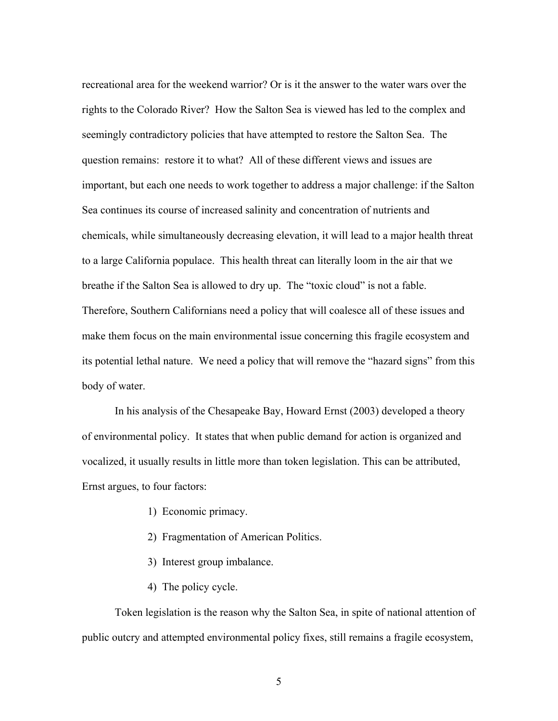recreational area for the weekend warrior? Or is it the answer to the water wars over the rights to the Colorado River? How the Salton Sea is viewed has led to the complex and seemingly contradictory policies that have attempted to restore the Salton Sea. The question remains: restore it to what? All of these different views and issues are important, but each one needs to work together to address a major challenge: if the Salton Sea continues its course of increased salinity and concentration of nutrients and chemicals, while simultaneously decreasing elevation, it will lead to a major health threat to a large California populace. This health threat can literally loom in the air that we breathe if the Salton Sea is allowed to dry up. The "toxic cloud" is not a fable. Therefore, Southern Californians need a policy that will coalesce all of these issues and make them focus on the main environmental issue concerning this fragile ecosystem and its potential lethal nature. We need a policy that will remove the "hazard signs" from this body of water.

In his analysis of the Chesapeake Bay, Howard Ernst (2003) developed a theory of environmental policy. It states that when public demand for action is organized and vocalized, it usually results in little more than token legislation. This can be attributed, Ernst argues, to four factors:

- 1) Economic primacy.
- 2) Fragmentation of American Politics.
- 3) Interest group imbalance.
- 4) The policy cycle.

Token legislation is the reason why the Salton Sea, in spite of national attention of public outcry and attempted environmental policy fixes, still remains a fragile ecosystem,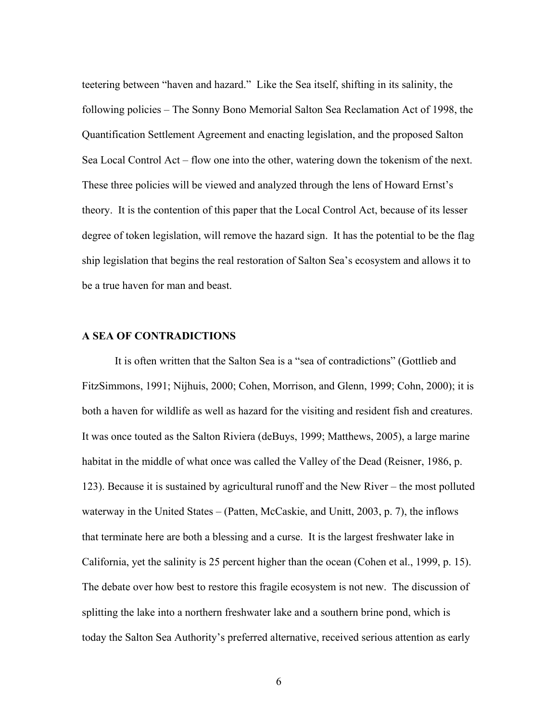teetering between "haven and hazard." Like the Sea itself, shifting in its salinity, the following policies – The Sonny Bono Memorial Salton Sea Reclamation Act of 1998, the Quantification Settlement Agreement and enacting legislation, and the proposed Salton Sea Local Control Act – flow one into the other, watering down the tokenism of the next. These three policies will be viewed and analyzed through the lens of Howard Ernst's theory. It is the contention of this paper that the Local Control Act, because of its lesser degree of token legislation, will remove the hazard sign. It has the potential to be the flag ship legislation that begins the real restoration of Salton Sea's ecosystem and allows it to be a true haven for man and beast.

# **A SEA OF CONTRADICTIONS**

It is often written that the Salton Sea is a "sea of contradictions" (Gottlieb and FitzSimmons, 1991; Nijhuis, 2000; Cohen, Morrison, and Glenn, 1999; Cohn, 2000); it is both a haven for wildlife as well as hazard for the visiting and resident fish and creatures. It was once touted as the Salton Riviera (deBuys, 1999; Matthews, 2005), a large marine habitat in the middle of what once was called the Valley of the Dead (Reisner, 1986, p. 123). Because it is sustained by agricultural runoff and the New River – the most polluted waterway in the United States – (Patten, McCaskie, and Unitt, 2003, p. 7), the inflows that terminate here are both a blessing and a curse. It is the largest freshwater lake in California, yet the salinity is 25 percent higher than the ocean (Cohen et al., 1999, p. 15). The debate over how best to restore this fragile ecosystem is not new. The discussion of splitting the lake into a northern freshwater lake and a southern brine pond, which is today the Salton Sea Authority's preferred alternative, received serious attention as early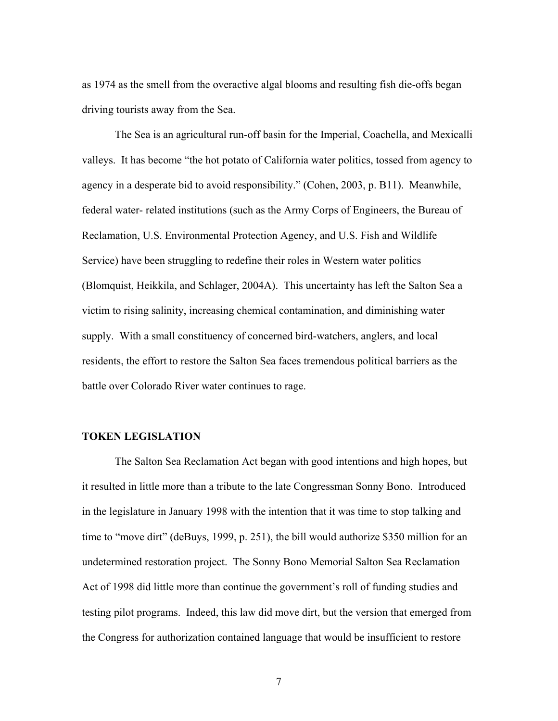as 1974 as the smell from the overactive algal blooms and resulting fish die-offs began driving tourists away from the Sea.

The Sea is an agricultural run-off basin for the Imperial, Coachella, and Mexicalli valleys. It has become "the hot potato of California water politics, tossed from agency to agency in a desperate bid to avoid responsibility." (Cohen, 2003, p. B11). Meanwhile, federal water- related institutions (such as the Army Corps of Engineers, the Bureau of Reclamation, U.S. Environmental Protection Agency, and U.S. Fish and Wildlife Service) have been struggling to redefine their roles in Western water politics (Blomquist, Heikkila, and Schlager, 2004A). This uncertainty has left the Salton Sea a victim to rising salinity, increasing chemical contamination, and diminishing water supply. With a small constituency of concerned bird-watchers, anglers, and local residents, the effort to restore the Salton Sea faces tremendous political barriers as the battle over Colorado River water continues to rage.

#### **TOKEN LEGISLATION**

The Salton Sea Reclamation Act began with good intentions and high hopes, but it resulted in little more than a tribute to the late Congressman Sonny Bono. Introduced in the legislature in January 1998 with the intention that it was time to stop talking and time to "move dirt" (deBuys, 1999, p. 251), the bill would authorize \$350 million for an undetermined restoration project. The Sonny Bono Memorial Salton Sea Reclamation Act of 1998 did little more than continue the government's roll of funding studies and testing pilot programs. Indeed, this law did move dirt, but the version that emerged from the Congress for authorization contained language that would be insufficient to restore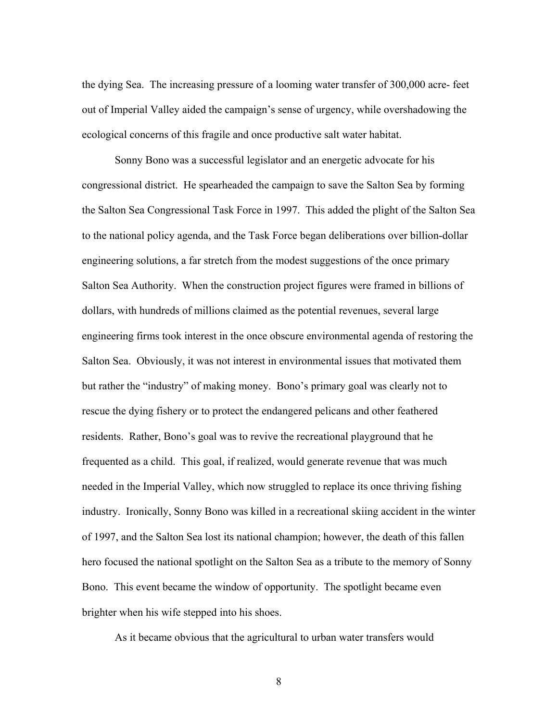the dying Sea. The increasing pressure of a looming water transfer of 300,000 acre- feet out of Imperial Valley aided the campaign's sense of urgency, while overshadowing the ecological concerns of this fragile and once productive salt water habitat.

Sonny Bono was a successful legislator and an energetic advocate for his congressional district. He spearheaded the campaign to save the Salton Sea by forming the Salton Sea Congressional Task Force in 1997. This added the plight of the Salton Sea to the national policy agenda, and the Task Force began deliberations over billion-dollar engineering solutions, a far stretch from the modest suggestions of the once primary Salton Sea Authority. When the construction project figures were framed in billions of dollars, with hundreds of millions claimed as the potential revenues, several large engineering firms took interest in the once obscure environmental agenda of restoring the Salton Sea. Obviously, it was not interest in environmental issues that motivated them but rather the "industry" of making money. Bono's primary goal was clearly not to rescue the dying fishery or to protect the endangered pelicans and other feathered residents. Rather, Bono's goal was to revive the recreational playground that he frequented as a child. This goal, if realized, would generate revenue that was much needed in the Imperial Valley, which now struggled to replace its once thriving fishing industry. Ironically, Sonny Bono was killed in a recreational skiing accident in the winter of 1997, and the Salton Sea lost its national champion; however, the death of this fallen hero focused the national spotlight on the Salton Sea as a tribute to the memory of Sonny Bono. This event became the window of opportunity. The spotlight became even brighter when his wife stepped into his shoes.

As it became obvious that the agricultural to urban water transfers would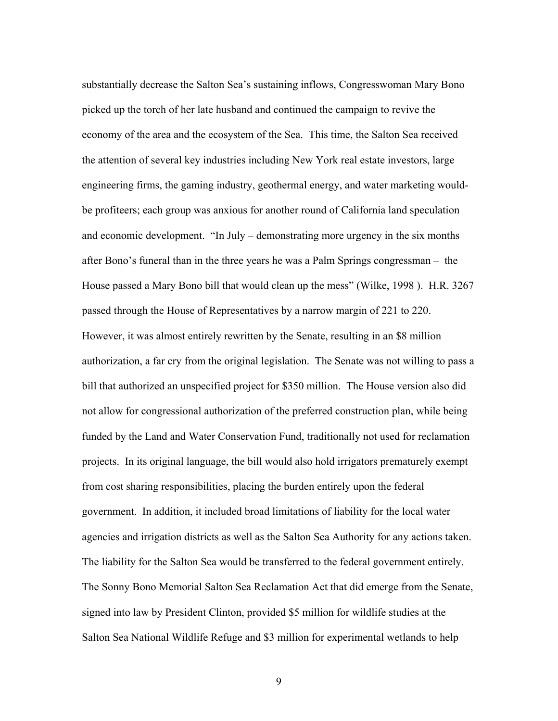substantially decrease the Salton Sea's sustaining inflows, Congresswoman Mary Bono picked up the torch of her late husband and continued the campaign to revive the economy of the area and the ecosystem of the Sea. This time, the Salton Sea received the attention of several key industries including New York real estate investors, large engineering firms, the gaming industry, geothermal energy, and water marketing wouldbe profiteers; each group was anxious for another round of California land speculation and economic development. "In July – demonstrating more urgency in the six months after Bono's funeral than in the three years he was a Palm Springs congressman – the House passed a Mary Bono bill that would clean up the mess" (Wilke, 1998 ). H.R. 3267 passed through the House of Representatives by a narrow margin of 221 to 220. However, it was almost entirely rewritten by the Senate, resulting in an \$8 million authorization, a far cry from the original legislation. The Senate was not willing to pass a bill that authorized an unspecified project for \$350 million. The House version also did not allow for congressional authorization of the preferred construction plan, while being funded by the Land and Water Conservation Fund, traditionally not used for reclamation projects. In its original language, the bill would also hold irrigators prematurely exempt from cost sharing responsibilities, placing the burden entirely upon the federal government. In addition, it included broad limitations of liability for the local water agencies and irrigation districts as well as the Salton Sea Authority for any actions taken. The liability for the Salton Sea would be transferred to the federal government entirely. The Sonny Bono Memorial Salton Sea Reclamation Act that did emerge from the Senate, signed into law by President Clinton, provided \$5 million for wildlife studies at the Salton Sea National Wildlife Refuge and \$3 million for experimental wetlands to help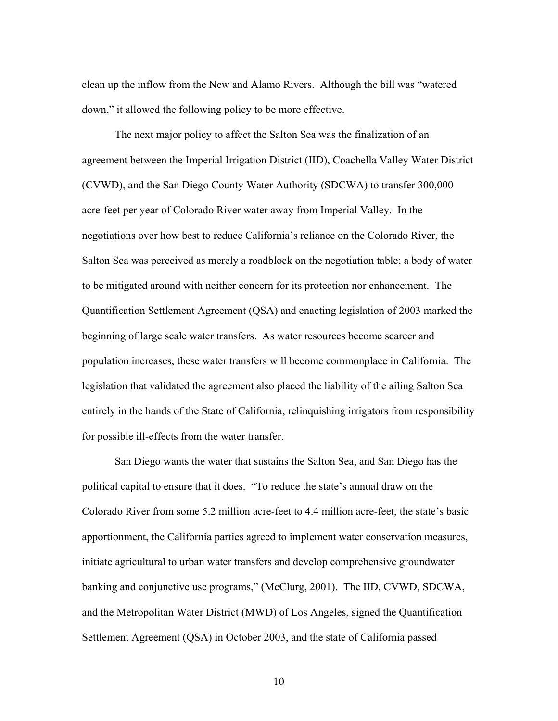clean up the inflow from the New and Alamo Rivers. Although the bill was "watered down," it allowed the following policy to be more effective.

 The next major policy to affect the Salton Sea was the finalization of an agreement between the Imperial Irrigation District (IID), Coachella Valley Water District (CVWD), and the San Diego County Water Authority (SDCWA) to transfer 300,000 acre-feet per year of Colorado River water away from Imperial Valley. In the negotiations over how best to reduce California's reliance on the Colorado River, the Salton Sea was perceived as merely a roadblock on the negotiation table; a body of water to be mitigated around with neither concern for its protection nor enhancement. The Quantification Settlement Agreement (QSA) and enacting legislation of 2003 marked the beginning of large scale water transfers. As water resources become scarcer and population increases, these water transfers will become commonplace in California. The legislation that validated the agreement also placed the liability of the ailing Salton Sea entirely in the hands of the State of California, relinquishing irrigators from responsibility for possible ill-effects from the water transfer.

 San Diego wants the water that sustains the Salton Sea, and San Diego has the political capital to ensure that it does. "To reduce the state's annual draw on the Colorado River from some 5.2 million acre-feet to 4.4 million acre-feet, the state's basic apportionment, the California parties agreed to implement water conservation measures, initiate agricultural to urban water transfers and develop comprehensive groundwater banking and conjunctive use programs," (McClurg, 2001). The IID, CVWD, SDCWA, and the Metropolitan Water District (MWD) of Los Angeles, signed the Quantification Settlement Agreement (QSA) in October 2003, and the state of California passed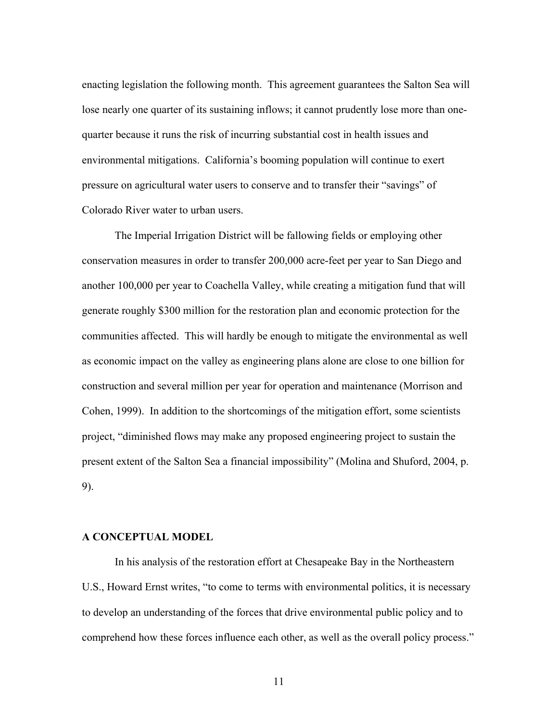enacting legislation the following month. This agreement guarantees the Salton Sea will lose nearly one quarter of its sustaining inflows; it cannot prudently lose more than onequarter because it runs the risk of incurring substantial cost in health issues and environmental mitigations. California's booming population will continue to exert pressure on agricultural water users to conserve and to transfer their "savings" of Colorado River water to urban users.

 The Imperial Irrigation District will be fallowing fields or employing other conservation measures in order to transfer 200,000 acre-feet per year to San Diego and another 100,000 per year to Coachella Valley, while creating a mitigation fund that will generate roughly \$300 million for the restoration plan and economic protection for the communities affected. This will hardly be enough to mitigate the environmental as well as economic impact on the valley as engineering plans alone are close to one billion for construction and several million per year for operation and maintenance (Morrison and Cohen, 1999). In addition to the shortcomings of the mitigation effort, some scientists project, "diminished flows may make any proposed engineering project to sustain the present extent of the Salton Sea a financial impossibility" (Molina and Shuford, 2004, p. 9).

## **A CONCEPTUAL MODEL**

 In his analysis of the restoration effort at Chesapeake Bay in the Northeastern U.S., Howard Ernst writes, "to come to terms with environmental politics, it is necessary to develop an understanding of the forces that drive environmental public policy and to comprehend how these forces influence each other, as well as the overall policy process."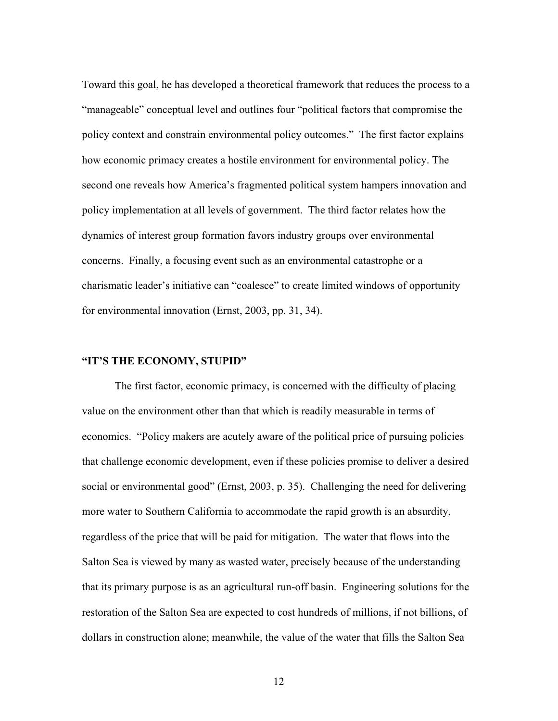Toward this goal, he has developed a theoretical framework that reduces the process to a "manageable" conceptual level and outlines four "political factors that compromise the policy context and constrain environmental policy outcomes." The first factor explains how economic primacy creates a hostile environment for environmental policy. The second one reveals how America's fragmented political system hampers innovation and policy implementation at all levels of government. The third factor relates how the dynamics of interest group formation favors industry groups over environmental concerns. Finally, a focusing event such as an environmental catastrophe or a charismatic leader's initiative can "coalesce" to create limited windows of opportunity for environmental innovation (Ernst, 2003, pp. 31, 34).

#### **"IT'S THE ECONOMY, STUPID"**

The first factor, economic primacy, is concerned with the difficulty of placing value on the environment other than that which is readily measurable in terms of economics. "Policy makers are acutely aware of the political price of pursuing policies that challenge economic development, even if these policies promise to deliver a desired social or environmental good" (Ernst, 2003, p. 35). Challenging the need for delivering more water to Southern California to accommodate the rapid growth is an absurdity, regardless of the price that will be paid for mitigation. The water that flows into the Salton Sea is viewed by many as wasted water, precisely because of the understanding that its primary purpose is as an agricultural run-off basin. Engineering solutions for the restoration of the Salton Sea are expected to cost hundreds of millions, if not billions, of dollars in construction alone; meanwhile, the value of the water that fills the Salton Sea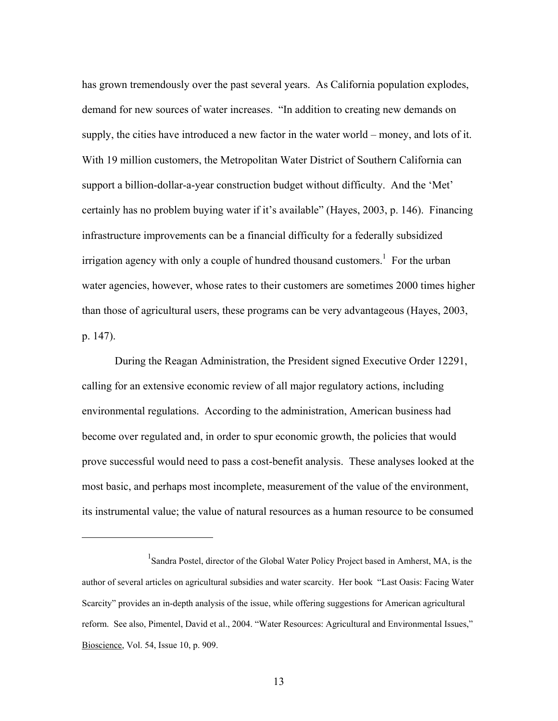has grown tremendously over the past several years. As California population explodes, demand for new sources of water increases. "In addition to creating new demands on supply, the cities have introduced a new factor in the water world – money, and lots of it. With 19 million customers, the Metropolitan Water District of Southern California can support a billion-dollar-a-year construction budget without difficulty. And the 'Met' certainly has no problem buying water if it's available" (Hayes, 2003, p. 146). Financing infrastructure improvements can be a financial difficulty for a federally subsidized irrigation agency with only a couple of hundred thousand customers.<sup>1</sup> For the urban water agencies, however, whose rates to their customers are sometimes 2000 times higher than those of agricultural users, these programs can be very advantageous (Hayes, 2003, p. 147).

During the Reagan Administration, the President signed Executive Order 12291, calling for an extensive economic review of all major regulatory actions, including environmental regulations. According to the administration, American business had become over regulated and, in order to spur economic growth, the policies that would prove successful would need to pass a cost-benefit analysis. These analyses looked at the most basic, and perhaps most incomplete, measurement of the value of the environment, its instrumental value; the value of natural resources as a human resource to be consumed

<u>.</u>

<sup>&</sup>lt;sup>1</sup>Sandra Postel, director of the Global Water Policy Project based in Amherst, MA, is the author of several articles on agricultural subsidies and water scarcity. Her book "Last Oasis: Facing Water Scarcity" provides an in-depth analysis of the issue, while offering suggestions for American agricultural reform. See also, Pimentel, David et al., 2004. "Water Resources: Agricultural and Environmental Issues," Bioscience, Vol. 54, Issue 10, p. 909.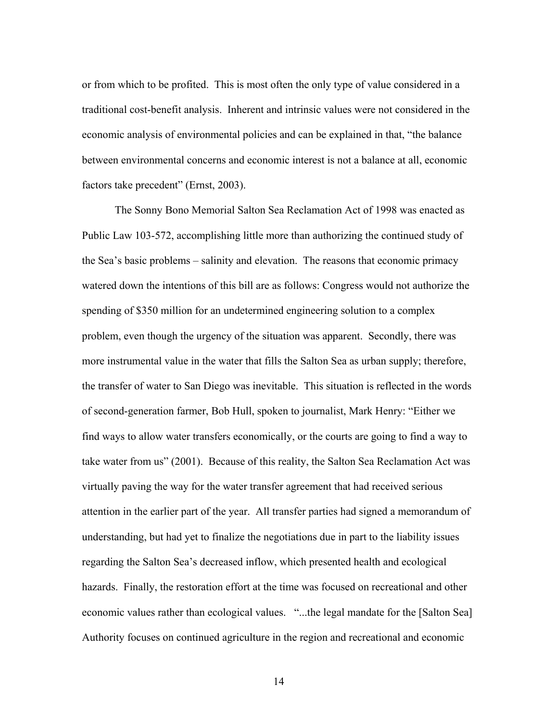or from which to be profited. This is most often the only type of value considered in a traditional cost-benefit analysis. Inherent and intrinsic values were not considered in the economic analysis of environmental policies and can be explained in that, "the balance between environmental concerns and economic interest is not a balance at all, economic factors take precedent" (Ernst, 2003).

The Sonny Bono Memorial Salton Sea Reclamation Act of 1998 was enacted as Public Law 103-572, accomplishing little more than authorizing the continued study of the Sea's basic problems – salinity and elevation. The reasons that economic primacy watered down the intentions of this bill are as follows: Congress would not authorize the spending of \$350 million for an undetermined engineering solution to a complex problem, even though the urgency of the situation was apparent. Secondly, there was more instrumental value in the water that fills the Salton Sea as urban supply; therefore, the transfer of water to San Diego was inevitable. This situation is reflected in the words of second-generation farmer, Bob Hull, spoken to journalist, Mark Henry: "Either we find ways to allow water transfers economically, or the courts are going to find a way to take water from us" (2001). Because of this reality, the Salton Sea Reclamation Act was virtually paving the way for the water transfer agreement that had received serious attention in the earlier part of the year. All transfer parties had signed a memorandum of understanding, but had yet to finalize the negotiations due in part to the liability issues regarding the Salton Sea's decreased inflow, which presented health and ecological hazards. Finally, the restoration effort at the time was focused on recreational and other economic values rather than ecological values. "...the legal mandate for the [Salton Sea] Authority focuses on continued agriculture in the region and recreational and economic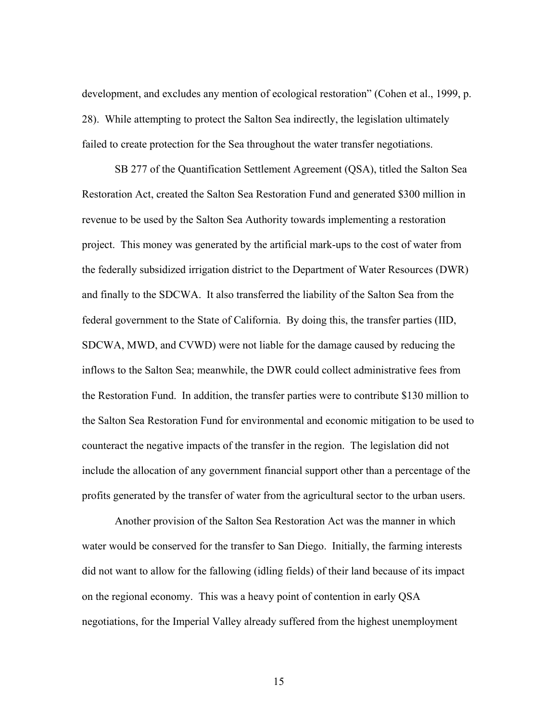development, and excludes any mention of ecological restoration" (Cohen et al., 1999, p. 28). While attempting to protect the Salton Sea indirectly, the legislation ultimately failed to create protection for the Sea throughout the water transfer negotiations.

SB 277 of the Quantification Settlement Agreement (QSA), titled the Salton Sea Restoration Act, created the Salton Sea Restoration Fund and generated \$300 million in revenue to be used by the Salton Sea Authority towards implementing a restoration project. This money was generated by the artificial mark-ups to the cost of water from the federally subsidized irrigation district to the Department of Water Resources (DWR) and finally to the SDCWA. It also transferred the liability of the Salton Sea from the federal government to the State of California. By doing this, the transfer parties (IID, SDCWA, MWD, and CVWD) were not liable for the damage caused by reducing the inflows to the Salton Sea; meanwhile, the DWR could collect administrative fees from the Restoration Fund. In addition, the transfer parties were to contribute \$130 million to the Salton Sea Restoration Fund for environmental and economic mitigation to be used to counteract the negative impacts of the transfer in the region. The legislation did not include the allocation of any government financial support other than a percentage of the profits generated by the transfer of water from the agricultural sector to the urban users.

Another provision of the Salton Sea Restoration Act was the manner in which water would be conserved for the transfer to San Diego. Initially, the farming interests did not want to allow for the fallowing (idling fields) of their land because of its impact on the regional economy. This was a heavy point of contention in early QSA negotiations, for the Imperial Valley already suffered from the highest unemployment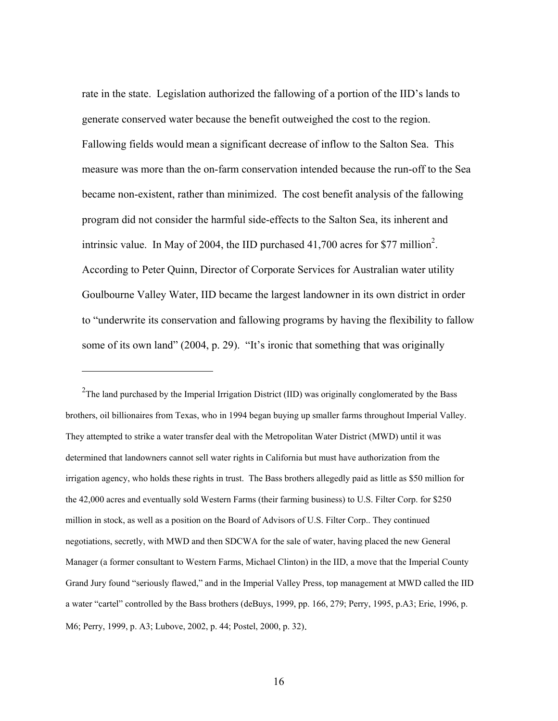rate in the state. Legislation authorized the fallowing of a portion of the IID's lands to generate conserved water because the benefit outweighed the cost to the region. Fallowing fields would mean a significant decrease of inflow to the Salton Sea. This measure was more than the on-farm conservation intended because the run-off to the Sea became non-existent, rather than minimized. The cost benefit analysis of the fallowing program did not consider the harmful side-effects to the Salton Sea, its inherent and intrinsic value. In May of 2004, the IID purchased  $41,700$  acres for \$77 million<sup>2</sup>. According to Peter Quinn, Director of Corporate Services for Australian water utility Goulbourne Valley Water, IID became the largest landowner in its own district in order to "underwrite its conservation and fallowing programs by having the flexibility to fallow some of its own land" (2004, p. 29). "It's ironic that something that was originally

<sup>2</sup>The land purchased by the Imperial Irrigation District (IID) was originally conglomerated by the Bass brothers, oil billionaires from Texas, who in 1994 began buying up smaller farms throughout Imperial Valley. They attempted to strike a water transfer deal with the Metropolitan Water District (MWD) until it was determined that landowners cannot sell water rights in California but must have authorization from the irrigation agency, who holds these rights in trust. The Bass brothers allegedly paid as little as \$50 million for the 42,000 acres and eventually sold Western Farms (their farming business) to U.S. Filter Corp. for \$250 million in stock, as well as a position on the Board of Advisors of U.S. Filter Corp.. They continued negotiations, secretly, with MWD and then SDCWA for the sale of water, having placed the new General Manager (a former consultant to Western Farms, Michael Clinton) in the IID, a move that the Imperial County Grand Jury found "seriously flawed," and in the Imperial Valley Press, top management at MWD called the IID a water "cartel" controlled by the Bass brothers (deBuys, 1999, pp. 166, 279; Perry, 1995, p.A3; Erie, 1996, p. M6; Perry, 1999, p. A3; Lubove, 2002, p. 44; Postel, 2000, p. 32).

 $\overline{a}$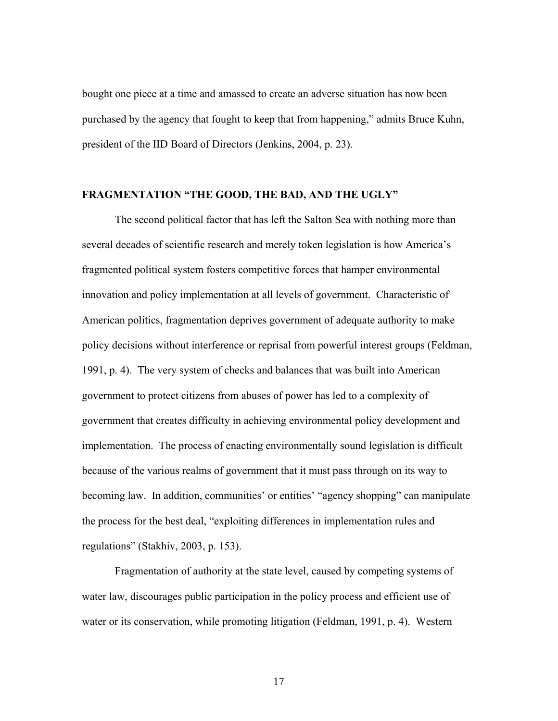bought one piece at a time and amassed to create an adverse situation has now been purchased by the agency that fought to keep that from happening," admits Bruce Kuhn, president of the IID Board of Directors (Jenkins, 2004, p. 23).

#### **FRAGMENTATION "THE GOOD, THE BAD, AND THE UGLY"**

The second political factor that has left the Salton Sea with nothing more than several decades of scientific research and merely token legislation is how America's fragmented political system fosters competitive forces that hamper environmental innovation and policy implementation at all levels of government. Characteristic of American politics, fragmentation deprives government of adequate authority to make policy decisions without interference or reprisal from powerful interest groups (Feldman, 1991, p. 4). The very system of checks and balances that was built into American government to protect citizens from abuses of power has led to a complexity of government that creates difficulty in achieving environmental policy development and implementation. The process of enacting environmentally sound legislation is difficult because of the various realms of government that it must pass through on its way to becoming law. In addition, communities' or entities' "agency shopping" can manipulate the process for the best deal, "exploiting differences in implementation rules and regulations" (Stakhiv, 2003, p. 153).

Fragmentation of authority at the state level, caused by competing systems of water law, discourages public participation in the policy process and efficient use of water or its conservation, while promoting litigation (Feldman, 1991, p. 4). Western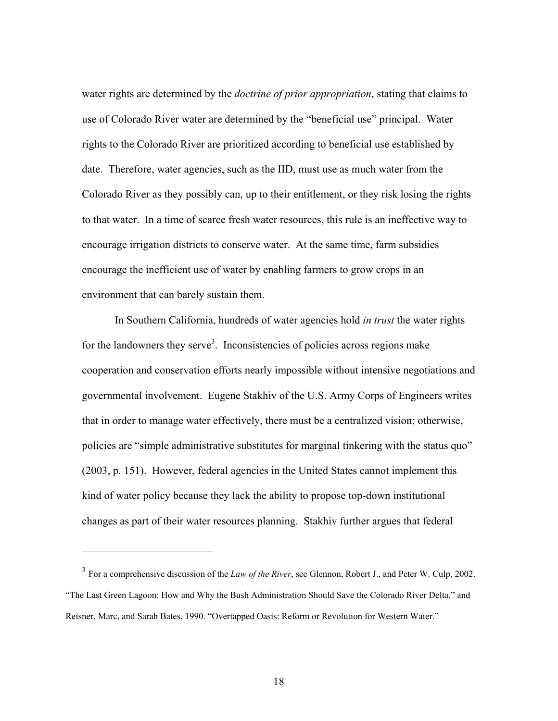water rights are determined by the *doctrine of prior appropriation*, stating that claims to use of Colorado River water are determined by the "beneficial use" principal. Water rights to the Colorado River are prioritized according to beneficial use established by date. Therefore, water agencies, such as the IID, must use as much water from the Colorado River as they possibly can, up to their entitlement, or they risk losing the rights to that water. In a time of scarce fresh water resources, this rule is an ineffective way to encourage irrigation districts to conserve water. At the same time, farm subsidies encourage the inefficient use of water by enabling farmers to grow crops in an environment that can barely sustain them.

In Southern California, hundreds of water agencies hold *in trust* the water rights for the landowners they serve<sup>3</sup>. Inconsistencies of policies across regions make cooperation and conservation efforts nearly impossible without intensive negotiations and governmental involvement. Eugene Stakhiv of the U.S. Army Corps of Engineers writes that in order to manage water effectively, there must be a centralized vision; otherwise, policies are "simple administrative substitutes for marginal tinkering with the status quo" (2003, p. 151). However, federal agencies in the United States cannot implement this kind of water policy because they lack the ability to propose top-down institutional changes as part of their water resources planning. Stakhiv further argues that federal

 $\overline{a}$ 

<sup>3</sup> For a comprehensive discussion of the *Law of the River*, see Glennon, Robert J., and Peter W. Culp, 2002. "The Last Green Lagoon: How and Why the Bush Administration Should Save the Colorado River Delta," and Reisner, Marc, and Sarah Bates, 1990. "Overtapped Oasis: Reform or Revolution for Western Water."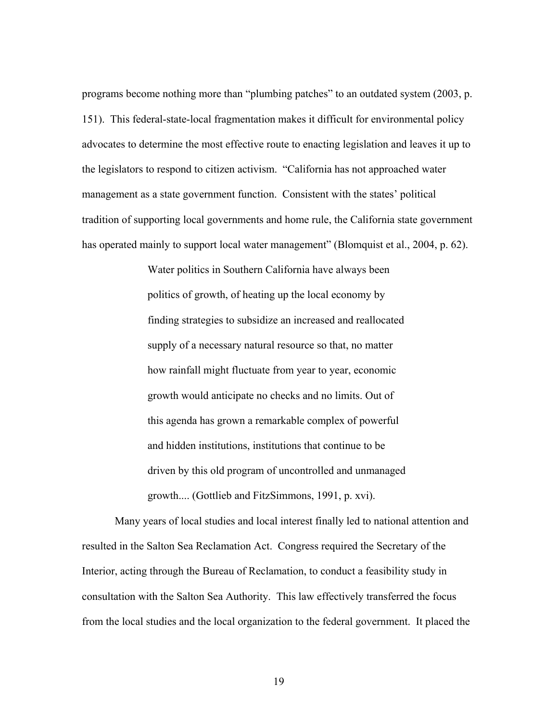programs become nothing more than "plumbing patches" to an outdated system (2003, p. 151). This federal-state-local fragmentation makes it difficult for environmental policy advocates to determine the most effective route to enacting legislation and leaves it up to the legislators to respond to citizen activism. "California has not approached water management as a state government function. Consistent with the states' political tradition of supporting local governments and home rule, the California state government has operated mainly to support local water management" (Blomquist et al., 2004, p. 62).

> Water politics in Southern California have always been politics of growth, of heating up the local economy by finding strategies to subsidize an increased and reallocated supply of a necessary natural resource so that, no matter how rainfall might fluctuate from year to year, economic growth would anticipate no checks and no limits. Out of this agenda has grown a remarkable complex of powerful and hidden institutions, institutions that continue to be driven by this old program of uncontrolled and unmanaged growth.... (Gottlieb and FitzSimmons, 1991, p. xvi).

Many years of local studies and local interest finally led to national attention and resulted in the Salton Sea Reclamation Act. Congress required the Secretary of the Interior, acting through the Bureau of Reclamation, to conduct a feasibility study in consultation with the Salton Sea Authority. This law effectively transferred the focus from the local studies and the local organization to the federal government. It placed the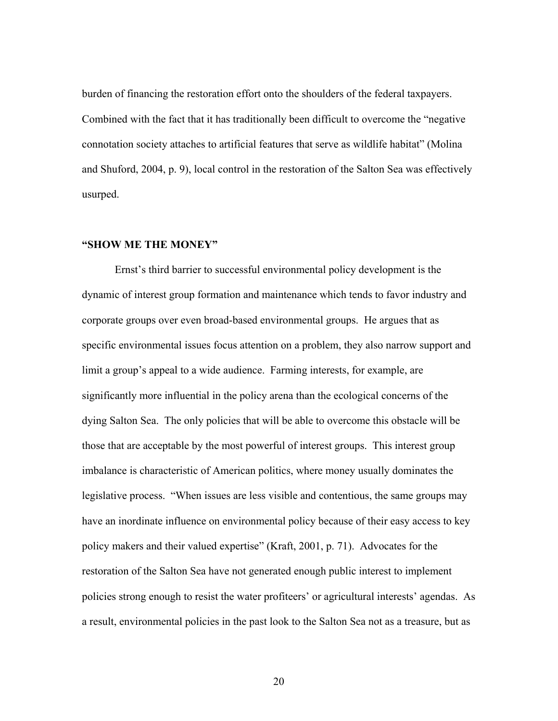burden of financing the restoration effort onto the shoulders of the federal taxpayers. Combined with the fact that it has traditionally been difficult to overcome the "negative connotation society attaches to artificial features that serve as wildlife habitat" (Molina and Shuford, 2004, p. 9), local control in the restoration of the Salton Sea was effectively usurped.

## **"SHOW ME THE MONEY"**

Ernst's third barrier to successful environmental policy development is the dynamic of interest group formation and maintenance which tends to favor industry and corporate groups over even broad-based environmental groups. He argues that as specific environmental issues focus attention on a problem, they also narrow support and limit a group's appeal to a wide audience. Farming interests, for example, are significantly more influential in the policy arena than the ecological concerns of the dying Salton Sea. The only policies that will be able to overcome this obstacle will be those that are acceptable by the most powerful of interest groups. This interest group imbalance is characteristic of American politics, where money usually dominates the legislative process. "When issues are less visible and contentious, the same groups may have an inordinate influence on environmental policy because of their easy access to key policy makers and their valued expertise" (Kraft, 2001, p. 71). Advocates for the restoration of the Salton Sea have not generated enough public interest to implement policies strong enough to resist the water profiteers' or agricultural interests' agendas. As a result, environmental policies in the past look to the Salton Sea not as a treasure, but as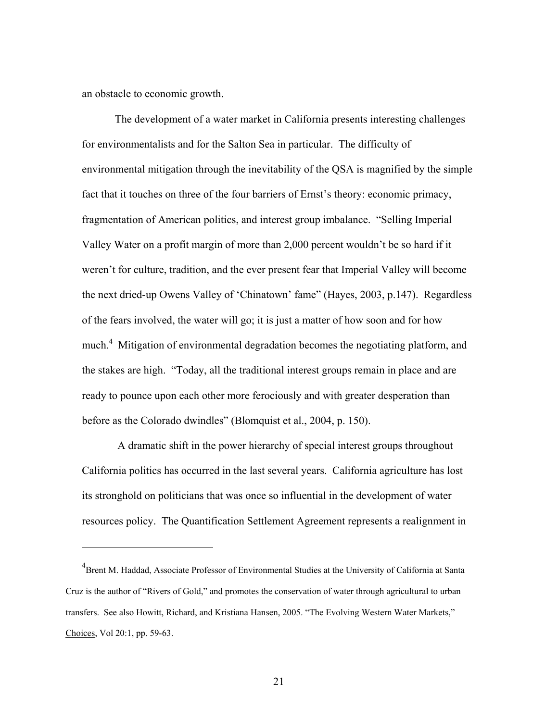an obstacle to economic growth.

1

The development of a water market in California presents interesting challenges for environmentalists and for the Salton Sea in particular. The difficulty of environmental mitigation through the inevitability of the QSA is magnified by the simple fact that it touches on three of the four barriers of Ernst's theory: economic primacy, fragmentation of American politics, and interest group imbalance. "Selling Imperial Valley Water on a profit margin of more than 2,000 percent wouldn't be so hard if it weren't for culture, tradition, and the ever present fear that Imperial Valley will become the next dried-up Owens Valley of 'Chinatown' fame" (Hayes, 2003, p.147). Regardless of the fears involved, the water will go; it is just a matter of how soon and for how much.<sup>4</sup> Mitigation of environmental degradation becomes the negotiating platform, and the stakes are high. "Today, all the traditional interest groups remain in place and are ready to pounce upon each other more ferociously and with greater desperation than before as the Colorado dwindles" (Blomquist et al., 2004, p. 150).

 A dramatic shift in the power hierarchy of special interest groups throughout California politics has occurred in the last several years. California agriculture has lost its stronghold on politicians that was once so influential in the development of water resources policy. The Quantification Settlement Agreement represents a realignment in

<sup>&</sup>lt;sup>4</sup> Brent M. Haddad, Associate Professor of Environmental Studies at the University of California at Santa Cruz is the author of "Rivers of Gold," and promotes the conservation of water through agricultural to urban transfers. See also Howitt, Richard, and Kristiana Hansen, 2005. "The Evolving Western Water Markets," Choices, Vol 20:1, pp. 59-63.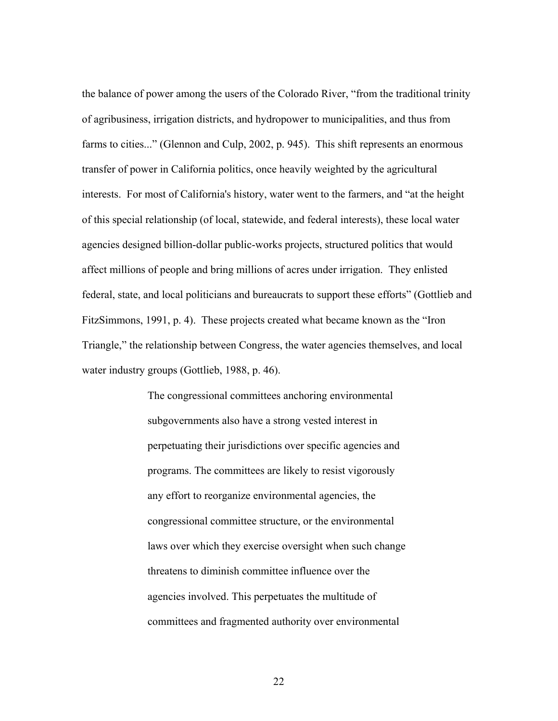the balance of power among the users of the Colorado River, "from the traditional trinity of agribusiness, irrigation districts, and hydropower to municipalities, and thus from farms to cities..." (Glennon and Culp, 2002, p. 945). This shift represents an enormous transfer of power in California politics, once heavily weighted by the agricultural interests. For most of California's history, water went to the farmers, and "at the height of this special relationship (of local, statewide, and federal interests), these local water agencies designed billion-dollar public-works projects, structured politics that would affect millions of people and bring millions of acres under irrigation. They enlisted federal, state, and local politicians and bureaucrats to support these efforts" (Gottlieb and FitzSimmons, 1991, p. 4). These projects created what became known as the "Iron Triangle," the relationship between Congress, the water agencies themselves, and local water industry groups (Gottlieb, 1988, p. 46).

> The congressional committees anchoring environmental subgovernments also have a strong vested interest in perpetuating their jurisdictions over specific agencies and programs. The committees are likely to resist vigorously any effort to reorganize environmental agencies, the congressional committee structure, or the environmental laws over which they exercise oversight when such change threatens to diminish committee influence over the agencies involved. This perpetuates the multitude of committees and fragmented authority over environmental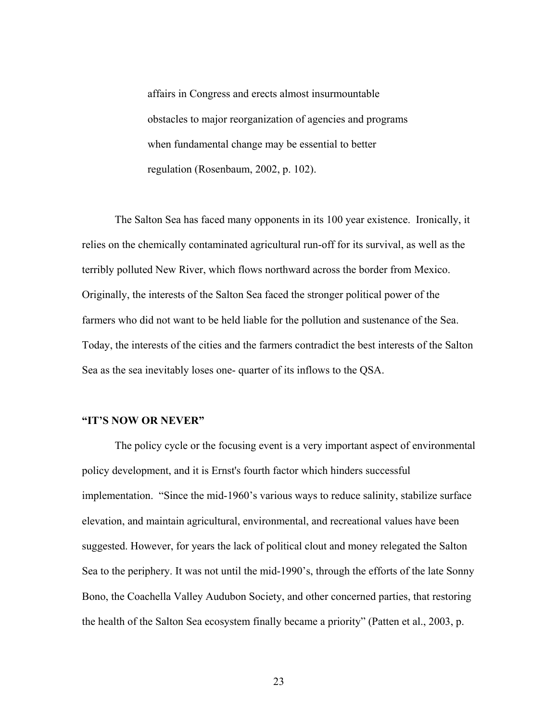affairs in Congress and erects almost insurmountable obstacles to major reorganization of agencies and programs when fundamental change may be essential to better regulation (Rosenbaum, 2002, p. 102).

The Salton Sea has faced many opponents in its 100 year existence. Ironically, it relies on the chemically contaminated agricultural run-off for its survival, as well as the terribly polluted New River, which flows northward across the border from Mexico. Originally, the interests of the Salton Sea faced the stronger political power of the farmers who did not want to be held liable for the pollution and sustenance of the Sea. Today, the interests of the cities and the farmers contradict the best interests of the Salton Sea as the sea inevitably loses one- quarter of its inflows to the QSA.

# **"IT'S NOW OR NEVER"**

The policy cycle or the focusing event is a very important aspect of environmental policy development, and it is Ernst's fourth factor which hinders successful implementation. "Since the mid-1960's various ways to reduce salinity, stabilize surface elevation, and maintain agricultural, environmental, and recreational values have been suggested. However, for years the lack of political clout and money relegated the Salton Sea to the periphery. It was not until the mid-1990's, through the efforts of the late Sonny Bono, the Coachella Valley Audubon Society, and other concerned parties, that restoring the health of the Salton Sea ecosystem finally became a priority" (Patten et al., 2003, p.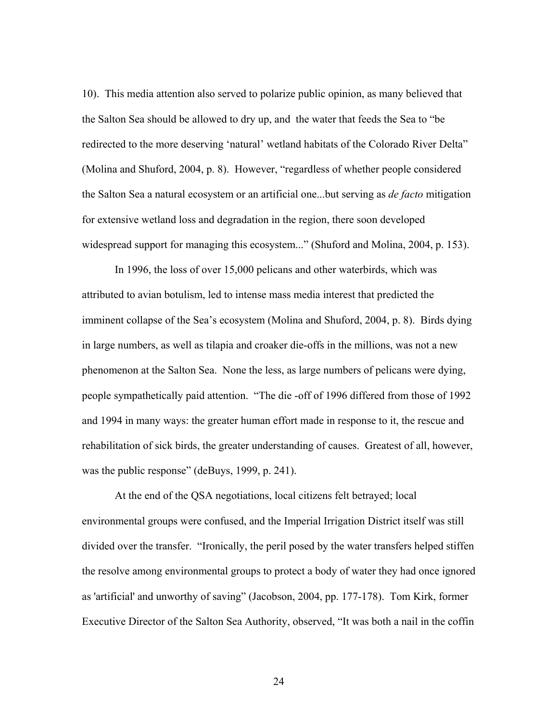10). This media attention also served to polarize public opinion, as many believed that the Salton Sea should be allowed to dry up, and the water that feeds the Sea to "be redirected to the more deserving 'natural' wetland habitats of the Colorado River Delta" (Molina and Shuford, 2004, p. 8). However, "regardless of whether people considered the Salton Sea a natural ecosystem or an artificial one...but serving as *de facto* mitigation for extensive wetland loss and degradation in the region, there soon developed widespread support for managing this ecosystem..." (Shuford and Molina, 2004, p. 153).

In 1996, the loss of over 15,000 pelicans and other waterbirds, which was attributed to avian botulism, led to intense mass media interest that predicted the imminent collapse of the Sea's ecosystem (Molina and Shuford, 2004, p. 8). Birds dying in large numbers, as well as tilapia and croaker die-offs in the millions, was not a new phenomenon at the Salton Sea. None the less, as large numbers of pelicans were dying, people sympathetically paid attention. "The die -off of 1996 differed from those of 1992 and 1994 in many ways: the greater human effort made in response to it, the rescue and rehabilitation of sick birds, the greater understanding of causes. Greatest of all, however, was the public response" (deBuys, 1999, p. 241).

At the end of the QSA negotiations, local citizens felt betrayed; local environmental groups were confused, and the Imperial Irrigation District itself was still divided over the transfer. "Ironically, the peril posed by the water transfers helped stiffen the resolve among environmental groups to protect a body of water they had once ignored as 'artificial' and unworthy of saving" (Jacobson, 2004, pp. 177-178). Tom Kirk, former Executive Director of the Salton Sea Authority, observed, "It was both a nail in the coffin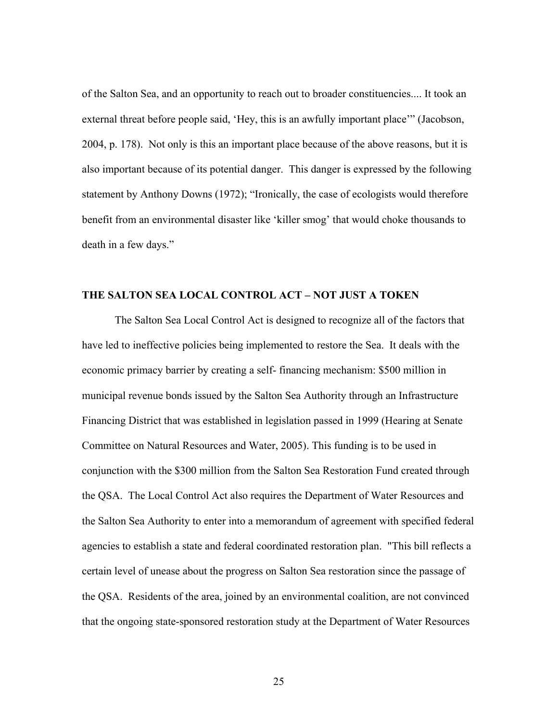of the Salton Sea, and an opportunity to reach out to broader constituencies.... It took an external threat before people said, 'Hey, this is an awfully important place'" (Jacobson, 2004, p. 178). Not only is this an important place because of the above reasons, but it is also important because of its potential danger. This danger is expressed by the following statement by Anthony Downs (1972); "Ironically, the case of ecologists would therefore benefit from an environmental disaster like 'killer smog' that would choke thousands to death in a few days."

#### **THE SALTON SEA LOCAL CONTROL ACT – NOT JUST A TOKEN**

The Salton Sea Local Control Act is designed to recognize all of the factors that have led to ineffective policies being implemented to restore the Sea. It deals with the economic primacy barrier by creating a self- financing mechanism: \$500 million in municipal revenue bonds issued by the Salton Sea Authority through an Infrastructure Financing District that was established in legislation passed in 1999 (Hearing at Senate Committee on Natural Resources and Water, 2005). This funding is to be used in conjunction with the \$300 million from the Salton Sea Restoration Fund created through the QSA. The Local Control Act also requires the Department of Water Resources and the Salton Sea Authority to enter into a memorandum of agreement with specified federal agencies to establish a state and federal coordinated restoration plan. "This bill reflects a certain level of unease about the progress on Salton Sea restoration since the passage of the QSA. Residents of the area, joined by an environmental coalition, are not convinced that the ongoing state-sponsored restoration study at the Department of Water Resources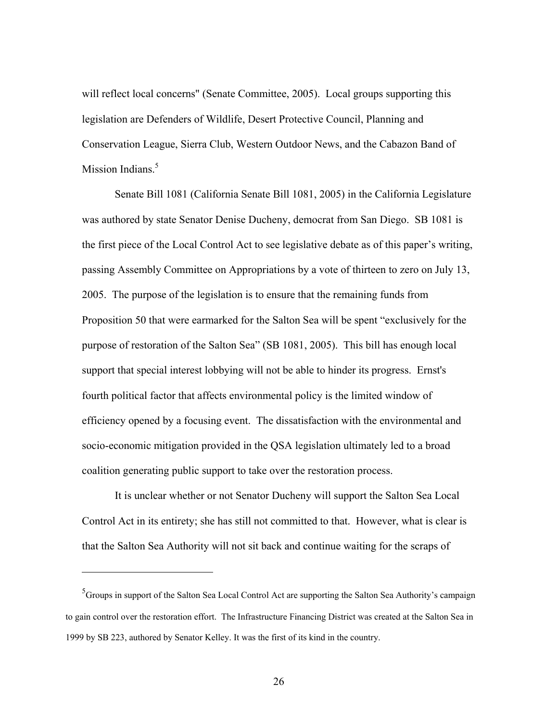will reflect local concerns" (Senate Committee, 2005). Local groups supporting this legislation are Defenders of Wildlife, Desert Protective Council, Planning and Conservation League, Sierra Club, Western Outdoor News, and the Cabazon Band of Mission Indians.<sup>5</sup>

Senate Bill 1081 (California Senate Bill 1081, 2005) in the California Legislature was authored by state Senator Denise Ducheny, democrat from San Diego. SB 1081 is the first piece of the Local Control Act to see legislative debate as of this paper's writing, passing Assembly Committee on Appropriations by a vote of thirteen to zero on July 13, 2005. The purpose of the legislation is to ensure that the remaining funds from Proposition 50 that were earmarked for the Salton Sea will be spent "exclusively for the purpose of restoration of the Salton Sea" (SB 1081, 2005). This bill has enough local support that special interest lobbying will not be able to hinder its progress. Ernst's fourth political factor that affects environmental policy is the limited window of efficiency opened by a focusing event. The dissatisfaction with the environmental and socio-economic mitigation provided in the QSA legislation ultimately led to a broad coalition generating public support to take over the restoration process.

It is unclear whether or not Senator Ducheny will support the Salton Sea Local Control Act in its entirety; she has still not committed to that. However, what is clear is that the Salton Sea Authority will not sit back and continue waiting for the scraps of

 $\overline{a}$ 

<sup>&</sup>lt;sup>5</sup> Groups in support of the Salton Sea Local Control Act are supporting the Salton Sea Authority's campaign to gain control over the restoration effort. The Infrastructure Financing District was created at the Salton Sea in 1999 by SB 223, authored by Senator Kelley. It was the first of its kind in the country.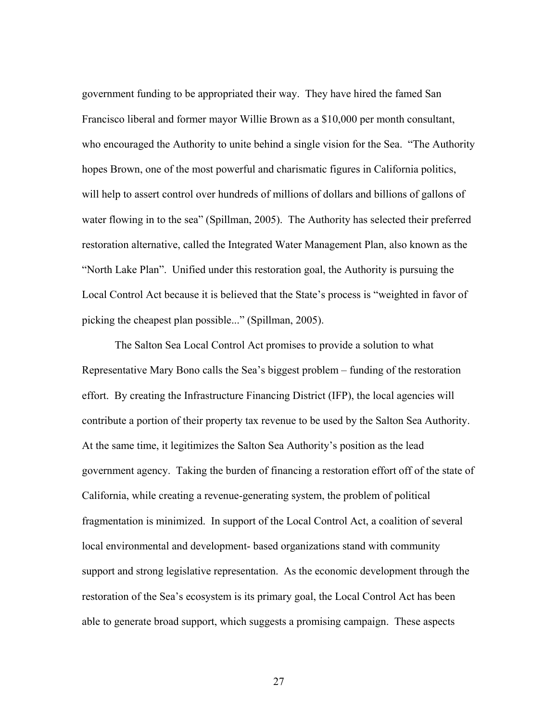government funding to be appropriated their way. They have hired the famed San Francisco liberal and former mayor Willie Brown as a \$10,000 per month consultant, who encouraged the Authority to unite behind a single vision for the Sea. "The Authority hopes Brown, one of the most powerful and charismatic figures in California politics, will help to assert control over hundreds of millions of dollars and billions of gallons of water flowing in to the sea" (Spillman, 2005). The Authority has selected their preferred restoration alternative, called the Integrated Water Management Plan, also known as the "North Lake Plan". Unified under this restoration goal, the Authority is pursuing the Local Control Act because it is believed that the State's process is "weighted in favor of picking the cheapest plan possible..." (Spillman, 2005).

The Salton Sea Local Control Act promises to provide a solution to what Representative Mary Bono calls the Sea's biggest problem – funding of the restoration effort. By creating the Infrastructure Financing District (IFP), the local agencies will contribute a portion of their property tax revenue to be used by the Salton Sea Authority. At the same time, it legitimizes the Salton Sea Authority's position as the lead government agency. Taking the burden of financing a restoration effort off of the state of California, while creating a revenue-generating system, the problem of political fragmentation is minimized. In support of the Local Control Act, a coalition of several local environmental and development- based organizations stand with community support and strong legislative representation. As the economic development through the restoration of the Sea's ecosystem is its primary goal, the Local Control Act has been able to generate broad support, which suggests a promising campaign. These aspects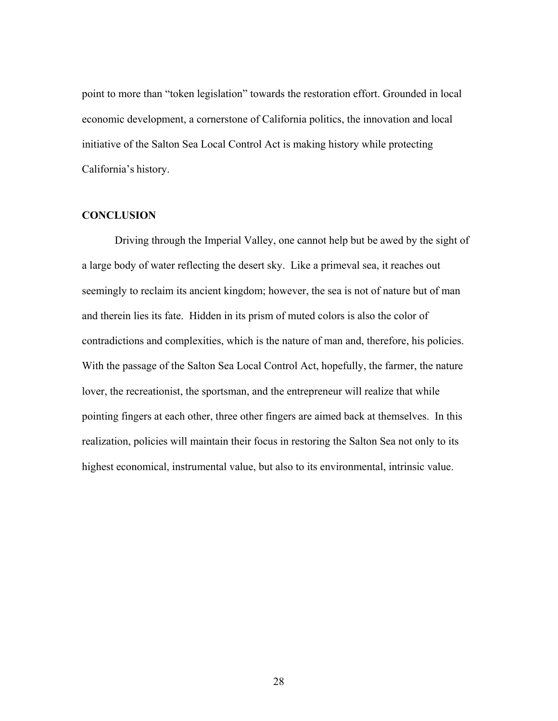point to more than "token legislation" towards the restoration effort. Grounded in local economic development, a cornerstone of California politics, the innovation and local initiative of the Salton Sea Local Control Act is making history while protecting California's history.

# **CONCLUSION**

Driving through the Imperial Valley, one cannot help but be awed by the sight of a large body of water reflecting the desert sky. Like a primeval sea, it reaches out seemingly to reclaim its ancient kingdom; however, the sea is not of nature but of man and therein lies its fate. Hidden in its prism of muted colors is also the color of contradictions and complexities, which is the nature of man and, therefore, his policies. With the passage of the Salton Sea Local Control Act, hopefully, the farmer, the nature lover, the recreationist, the sportsman, and the entrepreneur will realize that while pointing fingers at each other, three other fingers are aimed back at themselves. In this realization, policies will maintain their focus in restoring the Salton Sea not only to its highest economical, instrumental value, but also to its environmental, intrinsic value.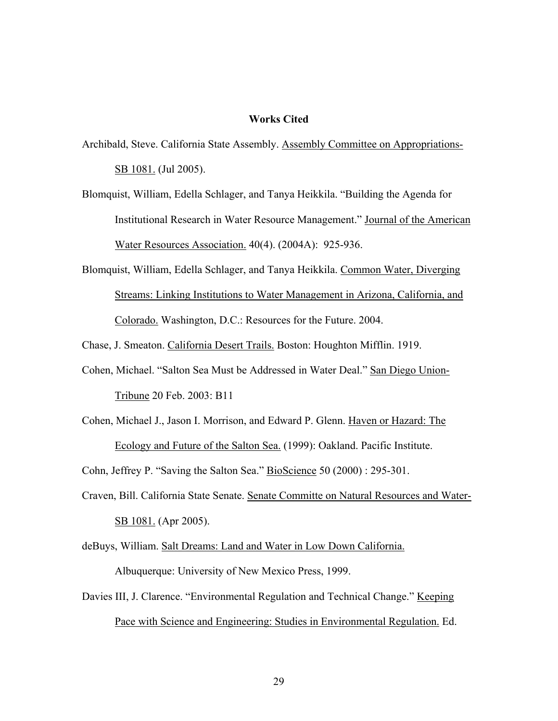#### **Works Cited**

- Archibald, Steve. California State Assembly. Assembly Committee on Appropriations-SB 1081. (Jul 2005).
- Blomquist, William, Edella Schlager, and Tanya Heikkila. "Building the Agenda for Institutional Research in Water Resource Management." Journal of the American Water Resources Association. 40(4). (2004A): 925-936.
- Blomquist, William, Edella Schlager, and Tanya Heikkila. Common Water, Diverging Streams: Linking Institutions to Water Management in Arizona, California, and Colorado. Washington, D.C.: Resources for the Future. 2004.

Chase, J. Smeaton. California Desert Trails. Boston: Houghton Mifflin. 1919.

- Cohen, Michael. "Salton Sea Must be Addressed in Water Deal." San Diego Union-Tribune 20 Feb. 2003: B11
- Cohen, Michael J., Jason I. Morrison, and Edward P. Glenn. Haven or Hazard: The Ecology and Future of the Salton Sea. (1999): Oakland. Pacific Institute.

Cohn, Jeffrey P. "Saving the Salton Sea." BioScience 50 (2000) : 295-301.

- Craven, Bill. California State Senate. Senate Committe on Natural Resources and Water-SB 1081. (Apr 2005).
- deBuys, William. Salt Dreams: Land and Water in Low Down California. Albuquerque: University of New Mexico Press, 1999.
- Davies III, J. Clarence. "Environmental Regulation and Technical Change." Keeping Pace with Science and Engineering: Studies in Environmental Regulation. Ed.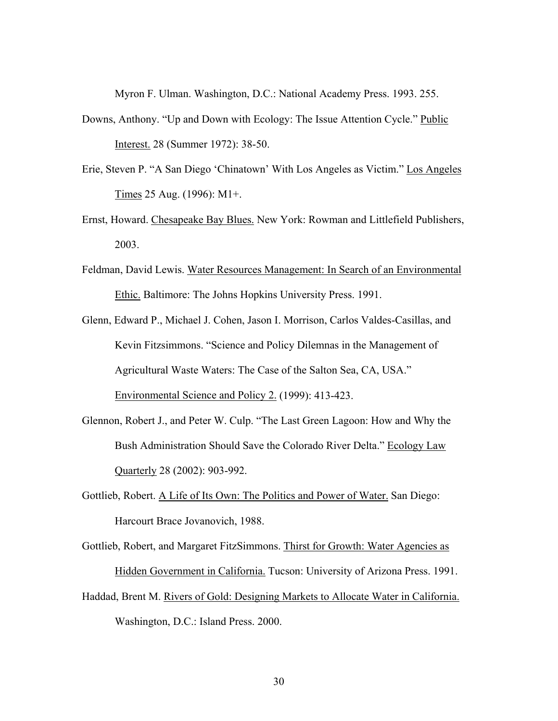Myron F. Ulman. Washington, D.C.: National Academy Press. 1993. 255.

- Downs, Anthony. "Up and Down with Ecology: The Issue Attention Cycle." Public Interest. 28 (Summer 1972): 38-50.
- Erie, Steven P. "A San Diego 'Chinatown' With Los Angeles as Victim." Los Angeles Times 25 Aug. (1996): M1+.
- Ernst, Howard. Chesapeake Bay Blues. New York: Rowman and Littlefield Publishers, 2003.
- Feldman, David Lewis. Water Resources Management: In Search of an Environmental Ethic. Baltimore: The Johns Hopkins University Press. 1991.
- Glenn, Edward P., Michael J. Cohen, Jason I. Morrison, Carlos Valdes-Casillas, and Kevin Fitzsimmons. "Science and Policy Dilemnas in the Management of Agricultural Waste Waters: The Case of the Salton Sea, CA, USA." Environmental Science and Policy 2. (1999): 413-423.
- Glennon, Robert J., and Peter W. Culp. "The Last Green Lagoon: How and Why the Bush Administration Should Save the Colorado River Delta." Ecology Law Quarterly 28 (2002): 903-992.
- Gottlieb, Robert. A Life of Its Own: The Politics and Power of Water. San Diego: Harcourt Brace Jovanovich, 1988.

Gottlieb, Robert, and Margaret FitzSimmons. Thirst for Growth: Water Agencies as Hidden Government in California. Tucson: University of Arizona Press. 1991.

Haddad, Brent M. Rivers of Gold: Designing Markets to Allocate Water in California. Washington, D.C.: Island Press. 2000.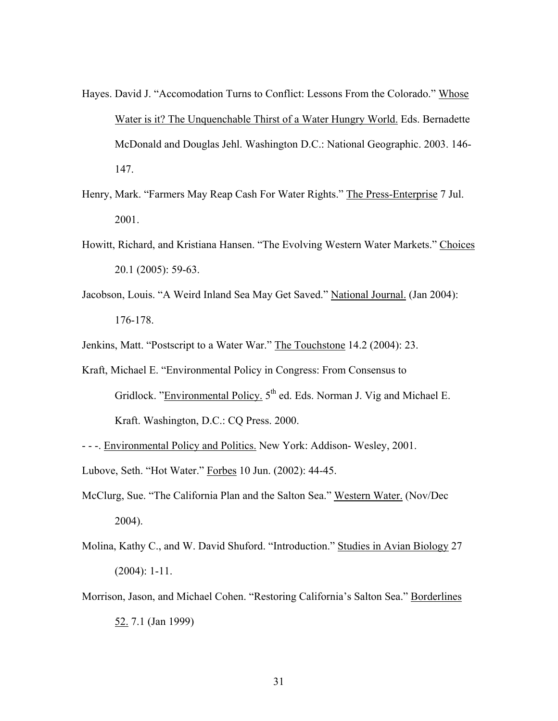- Hayes. David J. "Accomodation Turns to Conflict: Lessons From the Colorado." Whose Water is it? The Unquenchable Thirst of a Water Hungry World. Eds. Bernadette McDonald and Douglas Jehl. Washington D.C.: National Geographic. 2003. 146- 147.
- Henry, Mark. "Farmers May Reap Cash For Water Rights." The Press-Enterprise 7 Jul. 2001.
- Howitt, Richard, and Kristiana Hansen. "The Evolving Western Water Markets." Choices 20.1 (2005): 59-63.
- Jacobson, Louis. "A Weird Inland Sea May Get Saved." National Journal. (Jan 2004): 176-178.

Jenkins, Matt. "Postscript to a Water War." The Touchstone 14.2 (2004): 23.

- Kraft, Michael E. "Environmental Policy in Congress: From Consensus to Gridlock. "Environmental Policy.  $5<sup>th</sup>$  ed. Eds. Norman J. Vig and Michael E. Kraft. Washington, D.C.: CQ Press. 2000.
- - -. Environmental Policy and Politics. New York: Addison- Wesley, 2001.
- Lubove, Seth. "Hot Water." Forbes 10 Jun. (2002): 44-45.
- McClurg, Sue. "The California Plan and the Salton Sea." Western Water. (Nov/Dec 2004).
- Molina, Kathy C., and W. David Shuford. "Introduction." Studies in Avian Biology 27 (2004): 1-11.
- Morrison, Jason, and Michael Cohen. "Restoring California's Salton Sea." Borderlines 52. 7.1 (Jan 1999)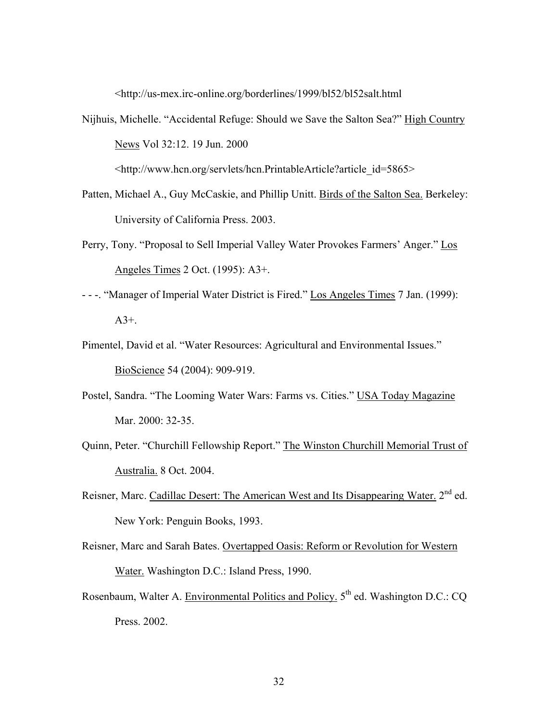<http://us-mex.irc-online.org/borderlines/1999/bl52/bl52salt.html

- Nijhuis, Michelle. "Accidental Refuge: Should we Save the Salton Sea?" High Country News Vol 32:12. 19 Jun. 2000 <http://www.hcn.org/servlets/hcn.PrintableArticle?article\_id=5865>
- Patten, Michael A., Guy McCaskie, and Phillip Unitt. Birds of the Salton Sea. Berkeley: University of California Press. 2003.
- Perry, Tony. "Proposal to Sell Imperial Valley Water Provokes Farmers' Anger." Los Angeles Times 2 Oct. (1995): A3+.
- - -. "Manager of Imperial Water District is Fired." Los Angeles Times 7 Jan. (1999):  $A3+$ .
- Pimentel, David et al. "Water Resources: Agricultural and Environmental Issues." BioScience 54 (2004): 909-919.
- Postel, Sandra. "The Looming Water Wars: Farms vs. Cities." USA Today Magazine Mar. 2000: 32-35.
- Quinn, Peter. "Churchill Fellowship Report." The Winston Churchill Memorial Trust of Australia. 8 Oct. 2004.
- Reisner, Marc. Cadillac Desert: The American West and Its Disappearing Water. 2<sup>nd</sup> ed. New York: Penguin Books, 1993.
- Reisner, Marc and Sarah Bates. Overtapped Oasis: Reform or Revolution for Western Water. Washington D.C.: Island Press, 1990.
- Rosenbaum, Walter A. Environmental Politics and Policy.  $5<sup>th</sup>$  ed. Washington D.C.: CQ Press. 2002.